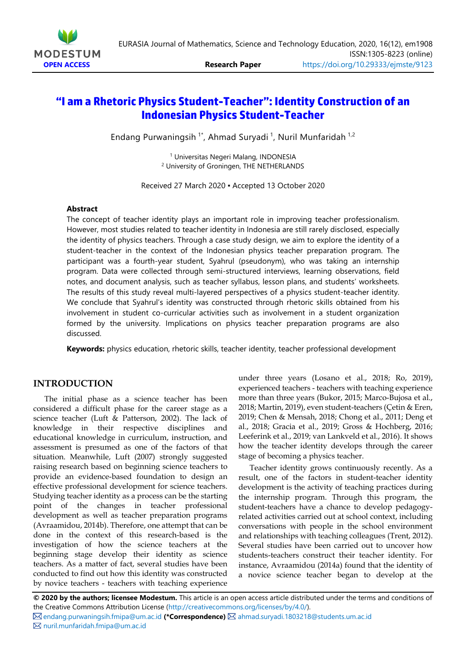

# **"I am a Rhetoric Physics Student-Teacher": Identity Construction of an Indonesian Physics Student-Teacher**

Endang Purwaningsih<sup>1\*</sup>, Ahmad Suryadi<sup>1</sup>, Nuril Munfaridah<sup>1,2</sup>

<sup>1</sup> Universitas Negeri Malang, INDONESIA <sup>2</sup> University of Groningen, THE NETHERLANDS

Received 27 March 2020 ▪ Accepted 13 October 2020

#### **Abstract**

The concept of teacher identity plays an important role in improving teacher professionalism. However, most studies related to teacher identity in Indonesia are still rarely disclosed, especially the identity of physics teachers. Through a case study design, we aim to explore the identity of a student-teacher in the context of the Indonesian physics teacher preparation program. The participant was a fourth-year student, Syahrul (pseudonym), who was taking an internship program. Data were collected through semi-structured interviews, learning observations, field notes, and document analysis, such as teacher syllabus, lesson plans, and students' worksheets. The results of this study reveal multi-layered perspectives of a physics student-teacher identity. We conclude that Syahrul's identity was constructed through rhetoric skills obtained from his involvement in student co-curricular activities such as involvement in a student organization formed by the university. Implications on physics teacher preparation programs are also discussed.

**Keywords:** physics education, rhetoric skills, teacher identity, teacher professional development

### **INTRODUCTION**

The initial phase as a science teacher has been considered a difficult phase for the career stage as a science teacher (Luft & Patterson, 2002). The lack of knowledge in their respective disciplines and educational knowledge in curriculum, instruction, and assessment is presumed as one of the factors of that situation. Meanwhile, Luft (2007) strongly suggested raising research based on beginning science teachers to provide an evidence-based foundation to design an effective professional development for science teachers. Studying teacher identity as a process can be the starting point of the changes in teacher professional development as well as teacher preparation programs (Avraamidou, 2014b). Therefore, one attempt that can be done in the context of this research-based is the investigation of how the science teachers at the beginning stage develop their identity as science teachers. As a matter of fact, several studies have been conducted to find out how this identity was constructed by novice teachers - teachers with teaching experience

under three years (Losano et al., 2018; Ro, 2019), experienced teachers - teachers with teaching experience more than three years (Bukor, 2015; Marco-Bujosa et al., 2018; Martin, 2019), even student-teachers (Çetin & Eren, 2019; Chen & Mensah, 2018; Chong et al., 2011; Deng et al., 2018; Gracia et al., 2019; Gross & Hochberg, 2016; Leeferink et al., 2019; van Lankveld et al., 2016). It shows how the teacher identity develops through the career stage of becoming a physics teacher.

Teacher identity grows continuously recently. As a result, one of the factors in student-teacher identity development is the activity of teaching practices during the internship program. Through this program, the student-teachers have a chance to develop pedagogyrelated activities carried out at school context, including conversations with people in the school environment and relationships with teaching colleagues (Trent, 2012). Several studies have been carried out to uncover how students-teachers construct their teacher identity. For instance, Avraamidou (2014a) found that the identity of a novice science teacher began to develop at the

**© 2020 by the authors; licensee Modestum.** This article is an open access article distributed under the terms and conditions of the Creative Commons Attribution License [\(http://creativecommons.org/licenses/by/4.0/\)](http://creativecommons.org/licenses/by/4.0/).

[endang.purwaningsih.fmipa@um.ac.id](mailto:endang.purwaningsih.fmipa@um.ac.id) **(\*Correspondence)** [ahmad.suryadi.1803218@students.um.ac.id](mailto:ahmad.suryadi.1803218@students.um.ac.id) [nuril.munfaridah.fmipa@um.ac.id](mailto:nuril.munfaridah.fmipa@um.ac.id)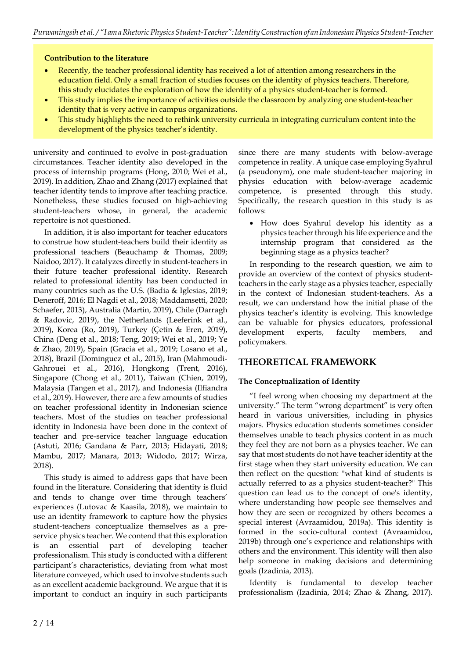### **Contribution to the literature**

- Recently, the teacher professional identity has received a lot of attention among researchers in the education field. Only a small fraction of studies focuses on the identity of physics teachers. Therefore, this study elucidates the exploration of how the identity of a physics student-teacher is formed.
- This study implies the importance of activities outside the classroom by analyzing one student-teacher identity that is very active in campus organizations.
- This study highlights the need to rethink university curricula in integrating curriculum content into the development of the physics teacher's identity.

university and continued to evolve in post-graduation circumstances. Teacher identity also developed in the process of internship programs (Hong, 2010; Wei et al., 2019). In addition, Zhao and Zhang (2017) explained that teacher identity tends to improve after teaching practice. Nonetheless, these studies focused on high-achieving student-teachers whose, in general, the academic repertoire is not questioned.

In addition, it is also important for teacher educators to construe how student-teachers build their identity as professional teachers (Beauchamp & Thomas, 2009; Naidoo, 2017). It catalyzes directly in student-teachers in their future teacher professional identity. Research related to professional identity has been conducted in many countries such as the U.S. (Badia & Iglesias, 2019; Deneroff, 2016; El Nagdi et al., 2018; Maddamsetti, 2020; Schaefer, 2013), Australia (Martin, 2019), Chile (Darragh & Radovic, 2019), the Netherlands (Leeferink et al., 2019), Korea (Ro, 2019), Turkey (Çetin & Eren, 2019), China (Deng et al., 2018; Teng, 2019; Wei et al., 2019; Ye & Zhao, 2019), Spain (Gracia et al., 2019; Losano et al., 2018), Brazil (Dominguez et al., 2015), Iran (Mahmoudi-Gahrouei et al., 2016), Hongkong (Trent, 2016), Singapore (Chong et al., 2011), Taiwan (Chien, 2019), Malaysia (Tangen et al., 2017), and Indonesia (Ilfiandra et al., 2019). However, there are a few amounts of studies on teacher professional identity in Indonesian science teachers. Most of the studies on teacher professional identity in Indonesia have been done in the context of teacher and pre-service teacher language education (Astuti, 2016; Gandana & Parr, 2013; Hidayati, 2018; Mambu, 2017; Manara, 2013; Widodo, 2017; Wirza, 2018).

This study is aimed to address gaps that have been found in the literature. Considering that identity is fluid and tends to change over time through teachers' experiences (Lutovac & Kaasila, 2018), we maintain to use an identity framework to capture how the physics student-teachers conceptualize themselves as a preservice physics teacher. We contend that this exploration is an essential part of developing teacher professionalism. This study is conducted with a different participant's characteristics, deviating from what most literature conveyed, which used to involve students such as an excellent academic background. We argue that it is important to conduct an inquiry in such participants

since there are many students with below-average competence in reality. A unique case employing Syahrul (a pseudonym), one male student-teacher majoring in physics education with below-average academic competence, is presented through this study. Specifically, the research question in this study is as follows:

• How does Syahrul develop his identity as a physics teacher through his life experience and the internship program that considered as the beginning stage as a physics teacher?

In responding to the research question, we aim to provide an overview of the context of physics studentteachers in the early stage as a physics teacher, especially in the context of Indonesian student-teachers. As a result, we can understand how the initial phase of the physics teacher's identity is evolving. This knowledge can be valuable for physics educators, professional development experts, faculty members, and policymakers.

# **THEORETICAL FRAMEWORK**

### **The Conceptualization of Identity**

"I feel wrong when choosing my department at the university." The term "wrong department" is very often heard in various universities, including in physics majors. Physics education students sometimes consider themselves unable to teach physics content in as much they feel they are not born as a physics teacher. We can say that most students do not have teacher identity at the first stage when they start university education. We can then reflect on the question: "what kind of students is actually referred to as a physics student-teacher?" This question can lead us to the concept of one's identity, where understanding how people see themselves and how they are seen or recognized by others becomes a special interest (Avraamidou, 2019a). This identity is formed in the socio-cultural context (Avraamidou, 2019b) through one's experience and relationships with others and the environment. This identity will then also help someone in making decisions and determining goals (Izadinia, 2013).

Identity is fundamental to develop teacher professionalism (Izadinia, 2014; Zhao & Zhang, 2017).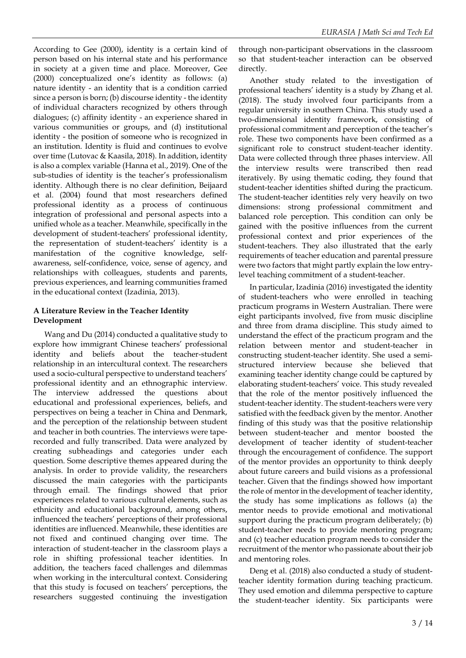According to Gee (2000), identity is a certain kind of person based on his internal state and his performance in society at a given time and place. Moreover, Gee (2000) conceptualized one's identity as follows: (a) nature identity - an identity that is a condition carried since a person is born; (b) discourse identity - the identity of individual characters recognized by others through dialogues; (c) affinity identity - an experience shared in various communities or groups, and (d) institutional identity - the position of someone who is recognized in an institution. Identity is fluid and continues to evolve over time (Lutovac & Kaasila, 2018). In addition, identity is also a complex variable (Hanna et al., 2019). One of the sub-studies of identity is the teacher's professionalism identity. Although there is no clear definition, Beijaard et al. (2004) found that most researchers defined professional identity as a process of continuous integration of professional and personal aspects into a unified whole as a teacher. Meanwhile, specifically in the development of student-teachers' professional identity, the representation of student-teachers' identity is a manifestation of the cognitive knowledge, selfawareness, self-confidence, voice, sense of agency, and relationships with colleagues, students and parents, previous experiences, and learning communities framed in the educational context (Izadinia, 2013).

### **A Literature Review in the Teacher Identity Development**

Wang and Du (2014) conducted a qualitative study to explore how immigrant Chinese teachers' professional identity and beliefs about the teacher-student relationship in an intercultural context. The researchers used a socio-cultural perspective to understand teachers' professional identity and an ethnographic interview. The interview addressed the questions about educational and professional experiences, beliefs, and perspectives on being a teacher in China and Denmark, and the perception of the relationship between student and teacher in both countries. The interviews were taperecorded and fully transcribed. Data were analyzed by creating subheadings and categories under each question. Some descriptive themes appeared during the analysis. In order to provide validity, the researchers discussed the main categories with the participants through email. The findings showed that prior experiences related to various cultural elements, such as ethnicity and educational background, among others, influenced the teachers' perceptions of their professional identities are influenced. Meanwhile, these identities are not fixed and continued changing over time. The interaction of student-teacher in the classroom plays a role in shifting professional teacher identities. In addition, the teachers faced challenges and dilemmas when working in the intercultural context. Considering that this study is focused on teachers' perceptions, the researchers suggested continuing the investigation

through non-participant observations in the classroom so that student-teacher interaction can be observed directly.

Another study related to the investigation of professional teachers' identity is a study by Zhang et al. (2018). The study involved four participants from a regular university in southern China. This study used a two-dimensional identity framework, consisting of professional commitment and perception of the teacher's role. These two components have been confirmed as a significant role to construct student-teacher identity. Data were collected through three phases interview. All the interview results were transcribed then read iteratively. By using thematic coding, they found that student-teacher identities shifted during the practicum. The student-teacher identities rely very heavily on two dimensions: strong professional commitment and balanced role perception. This condition can only be gained with the positive influences from the current professional context and prior experiences of the student-teachers. They also illustrated that the early requirements of teacher education and parental pressure were two factors that might partly explain the low entrylevel teaching commitment of a student-teacher.

In particular, Izadinia (2016) investigated the identity of student-teachers who were enrolled in teaching practicum programs in Western Australian. There were eight participants involved, five from music discipline and three from drama discipline. This study aimed to understand the effect of the practicum program and the relation between mentor and student-teacher in constructing student-teacher identity. She used a semistructured interview because she believed that examining teacher identity change could be captured by elaborating student-teachers' voice. This study revealed that the role of the mentor positively influenced the student-teacher identity. The student-teachers were very satisfied with the feedback given by the mentor. Another finding of this study was that the positive relationship between student-teacher and mentor boosted the development of teacher identity of student-teacher through the encouragement of confidence. The support of the mentor provides an opportunity to think deeply about future careers and build visions as a professional teacher. Given that the findings showed how important the role of mentor in the development of teacher identity, the study has some implications as follows (a) the mentor needs to provide emotional and motivational support during the practicum program deliberately; (b) student-teacher needs to provide mentoring program; and (c) teacher education program needs to consider the recruitment of the mentor who passionate about their job and mentoring roles.

Deng et al. (2018) also conducted a study of studentteacher identity formation during teaching practicum. They used emotion and dilemma perspective to capture the student-teacher identity. Six participants were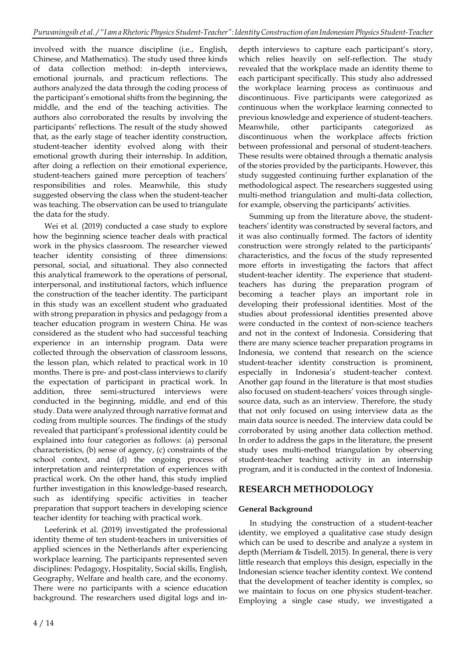involved with the nuance discipline (i.e., English, Chinese, and Mathematics). The study used three kinds of data collection method: in-depth interviews, emotional journals, and practicum reflections. The authors analyzed the data through the coding process of the participant's emotional shifts from the beginning, the middle, and the end of the teaching activities. The authors also corroborated the results by involving the participants' reflections. The result of the study showed that, as the early stage of teacher identity construction, student-teacher identity evolved along with their emotional growth during their internship. In addition, after doing a reflection on their emotional experience, student-teachers gained more perception of teachers' responsibilities and roles. Meanwhile, this study suggested observing the class when the student-teacher was teaching. The observation can be used to triangulate the data for the study.

Wei et al. (2019) conducted a case study to explore how the beginning science teacher deals with practical work in the physics classroom. The researcher viewed teacher identity consisting of three dimensions: personal, social, and situational. They also connected this analytical framework to the operations of personal, interpersonal, and institutional factors, which influence the construction of the teacher identity. The participant in this study was an excellent student who graduated with strong preparation in physics and pedagogy from a teacher education program in western China. He was considered as the student who had successful teaching experience in an internship program. Data were collected through the observation of classroom lessons, the lesson plan, which related to practical work in 10 months. There is pre- and post-class interviews to clarify the expectation of participant in practical work. In addition, three semi-structured interviews were conducted in the beginning, middle, and end of this study. Data were analyzed through narrative format and coding from multiple sources. The findings of the study revealed that participant's professional identity could be explained into four categories as follows: (a) personal characteristics, (b) sense of agency, (c) constraints of the school context, and (d) the ongoing process of interpretation and reinterpretation of experiences with practical work. On the other hand, this study implied further investigation in this knowledge-based research, such as identifying specific activities in teacher preparation that support teachers in developing science teacher identity for teaching with practical work.

Leeferink et al. (2019) investigated the professional identity theme of ten student-teachers in universities of applied sciences in the Netherlands after experiencing workplace learning. The participants represented seven disciplines: Pedagogy, Hospitality, Social skills, English, Geography, Welfare and health care, and the economy. There were no participants with a science education background. The researchers used digital logs and in-

depth interviews to capture each participant's story, which relies heavily on self-reflection. The study revealed that the workplace made an identity theme to each participant specifically. This study also addressed the workplace learning process as continuous and discontinuous. Five participants were categorized as continuous when the workplace learning connected to previous knowledge and experience of student-teachers. Meanwhile, other participants categorized discontinuous when the workplace affects friction between professional and personal of student-teachers. These results were obtained through a thematic analysis of the stories provided by the participants. However, this study suggested continuing further explanation of the methodological aspect. The researchers suggested using multi-method triangulation and multi-data collection, for example, observing the participants' activities.

Summing up from the literature above, the studentteachers' identity was constructed by several factors, and it was also continually formed. The factors of identity construction were strongly related to the participants' characteristics, and the focus of the study represented more efforts in investigating the factors that affect student-teacher identity. The experience that studentteachers has during the preparation program of becoming a teacher plays an important role in developing their professional identities. Most of the studies about professional identities presented above were conducted in the context of non-science teachers and not in the context of Indonesia. Considering that there are many science teacher preparation programs in Indonesia, we contend that research on the science student-teacher identity construction is prominent, especially in Indonesia's student-teacher context. Another gap found in the literature is that most studies also focused on student-teachers' voices through singlesource data, such as an interview. Therefore, the study that not only focused on using interview data as the main data source is needed. The interview data could be corroborated by using another data collection method. In order to address the gaps in the literature, the present study uses multi-method triangulation by observing student-teacher teaching activity in an internship program, and it is conducted in the context of Indonesia.

# **RESEARCH METHODOLOGY**

### **General Background**

In studying the construction of a student-teacher identity, we employed a qualitative case study design which can be used to describe and analyze a system in depth (Merriam & Tisdell, 2015). In general, there is very little research that employs this design, especially in the Indonesian science teacher identity context. We contend that the development of teacher identity is complex, so we maintain to focus on one physics student-teacher. Employing a single case study, we investigated a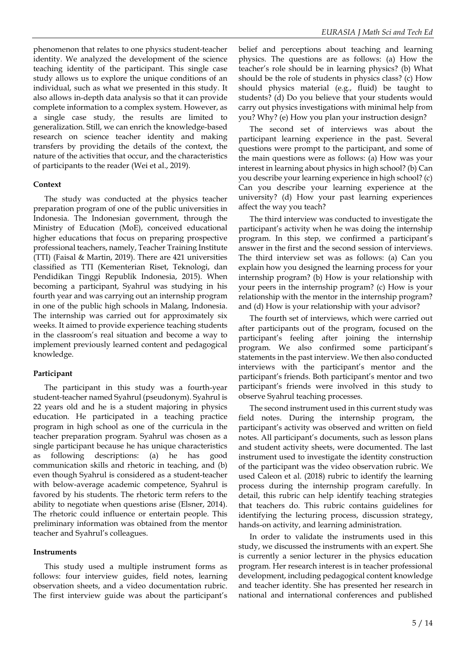phenomenon that relates to one physics student-teacher identity. We analyzed the development of the science teaching identity of the participant. This single case study allows us to explore the unique conditions of an individual, such as what we presented in this study. It also allows in-depth data analysis so that it can provide complete information to a complex system. However, as a single case study*,* the results are limited to generalization. Still, we can enrich the knowledge-based research on science teacher identity and making transfers by providing the details of the context, the nature of the activities that occur, and the characteristics of participants to the reader (Wei et al., 2019).

#### **Context**

The study was conducted at the physics teacher preparation program of one of the public universities in Indonesia. The Indonesian government, through the Ministry of Education (MoE), conceived educational higher educations that focus on preparing prospective professional teachers, namely, Teacher Training Institute (TTI) (Faisal & Martin, 2019). There are 421 universities classified as TTI (Kementerian Riset, Teknologi, dan Pendidikan Tinggi Republik Indonesia, 2015). When becoming a participant, Syahrul was studying in his fourth year and was carrying out an internship program in one of the public high schools in Malang, Indonesia. The internship was carried out for approximately six weeks. It aimed to provide experience teaching students in the classroom's real situation and become a way to implement previously learned content and pedagogical knowledge.

#### **Participant**

The participant in this study was a fourth-year student-teacher named Syahrul (pseudonym). Syahrul is 22 years old and he is a student majoring in physics education. He participated in a teaching practice program in high school as one of the curricula in the teacher preparation program. Syahrul was chosen as a single participant because he has unique characteristics as following descriptions: (a) he has good communication skills and rhetoric in teaching, and (b) even though Syahrul is considered as a student-teacher with below-average academic competence, Syahrul is favored by his students. The rhetoric term refers to the ability to negotiate when questions arise (Elsner, 2014). The rhetoric could influence or entertain people. This preliminary information was obtained from the mentor teacher and Syahrul's colleagues.

#### **Instruments**

This study used a multiple instrument forms as follows: four interview guides, field notes, learning observation sheets, and a video documentation rubric. The first interview guide was about the participant's

belief and perceptions about teaching and learning physics. The questions are as follows: (a) How the teacher's role should be in learning physics? (b) What should be the role of students in physics class? (c) How should physics material (e.g., fluid) be taught to students? (d) Do you believe that your students would carry out physics investigations with minimal help from you? Why? (e) How you plan your instruction design?

The second set of interviews was about the participant learning experience in the past. Several questions were prompt to the participant, and some of the main questions were as follows: (a) How was your interest in learning about physics in high school? (b) Can you describe your learning experience in high school? (c) Can you describe your learning experience at the university? (d) How your past learning experiences affect the way you teach?

The third interview was conducted to investigate the participant's activity when he was doing the internship program. In this step, we confirmed a participant's answer in the first and the second session of interviews. The third interview set was as follows: (a) Can you explain how you designed the learning process for your internship program? (b) How is your relationship with your peers in the internship program? (c) How is your relationship with the mentor in the internship program? and (d) How is your relationship with your advisor?

The fourth set of interviews, which were carried out after participants out of the program, focused on the participant's feeling after joining the internship program. We also confirmed some participant's statements in the past interview. We then also conducted interviews with the participant's mentor and the participant's friends. Both participant's mentor and two participant's friends were involved in this study to observe Syahrul teaching processes.

The second instrument used in this current study was field notes. During the internship program, the participant's activity was observed and written on field notes. All participant's documents, such as lesson plans and student activity sheets, were documented. The last instrument used to investigate the identity construction of the participant was the video observation rubric. We used Caleon et al. (2018) rubric to identify the learning process during the internship program carefully. In detail, this rubric can help identify teaching strategies that teachers do. This rubric contains guidelines for identifying the lecturing process, discussion strategy, hands-on activity, and learning administration.

In order to validate the instruments used in this study, we discussed the instruments with an expert. She is currently a senior lecturer in the physics education program. Her research interest is in teacher professional development, including pedagogical content knowledge and teacher identity. She has presented her research in national and international conferences and published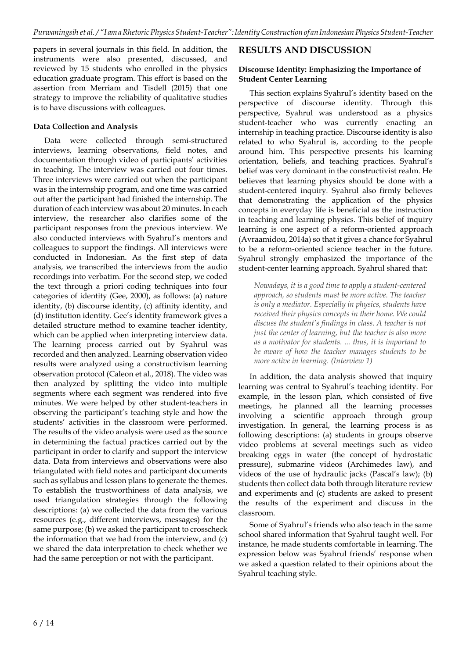papers in several journals in this field. In addition, the instruments were also presented, discussed, and reviewed by 15 students who enrolled in the physics education graduate program. This effort is based on the assertion from Merriam and Tisdell (2015) that one strategy to improve the reliability of qualitative studies is to have discussions with colleagues.

#### **Data Collection and Analysis**

Data were collected through semi-structured interviews, learning observations, field notes, and documentation through video of participants' activities in teaching. The interview was carried out four times. Three interviews were carried out when the participant was in the internship program, and one time was carried out after the participant had finished the internship. The duration of each interview was about 20 minutes. In each interview, the researcher also clarifies some of the participant responses from the previous interview. We also conducted interviews with Syahrul's mentors and colleagues to support the findings. All interviews were conducted in Indonesian. As the first step of data analysis, we transcribed the interviews from the audio recordings into verbatim. For the second step, we coded the text through a priori coding techniques into four categories of identity (Gee, 2000), as follows: (a) nature identity, (b) discourse identity, (c) affinity identity, and (d) institution identity. Gee's identity framework gives a detailed structure method to examine teacher identity, which can be applied when interpreting interview data. The learning process carried out by Syahrul was recorded and then analyzed. Learning observation video results were analyzed using a constructivism learning observation protocol (Caleon et al., 2018). The video was then analyzed by splitting the video into multiple segments where each segment was rendered into five minutes. We were helped by other student-teachers in observing the participant's teaching style and how the students' activities in the classroom were performed. The results of the video analysis were used as the source in determining the factual practices carried out by the participant in order to clarify and support the interview data. Data from interviews and observations were also triangulated with field notes and participant documents such as syllabus and lesson plans to generate the themes. To establish the trustworthiness of data analysis, we used triangulation strategies through the following descriptions: (a) we collected the data from the various resources (e.g., different interviews, messages) for the same purpose; (b) we asked the participant to crosscheck the information that we had from the interview, and (c) we shared the data interpretation to check whether we had the same perception or not with the participant.

### **RESULTS AND DISCUSSION**

#### **Discourse Identity: Emphasizing the Importance of Student Center Learning**

This section explains Syahrul's identity based on the perspective of discourse identity. Through this perspective, Syahrul was understood as a physics student-teacher who was currently enacting an internship in teaching practice. Discourse identity is also related to who Syahrul is, according to the people around him. This perspective presents his learning orientation, beliefs, and teaching practices. Syahrul's belief was very dominant in the constructivist realm. He believes that learning physics should be done with a student-centered inquiry*.* Syahrul also firmly believes that demonstrating the application of the physics concepts in everyday life is beneficial as the instruction in teaching and learning physics. This belief of inquiry learning is one aspect of a reform-oriented approach (Avraamidou, 2014a) so that it gives a chance for Syahrul to be a reform-oriented science teacher in the future. Syahrul strongly emphasized the importance of the student-center learning approach. Syahrul shared that:

*Nowadays, it is a good time to apply a student-centered approach, so students must be more active. The teacher is only a mediator. Especially in physics, students have received their physics concepts in their home. We could discuss the student's findings in class. A teacher is not just the center of learning, but the teacher is also more as a motivator for students. ... thus, it is important to be aware of how the teacher manages students to be more active in learning. (Interview 1)*

In addition, the data analysis showed that inquiry learning was central to Syahrul's teaching identity. For example, in the lesson plan, which consisted of five meetings, he planned all the learning processes involving a scientific approach through group investigation. In general, the learning process is as following descriptions: (a) students in groups observe video problems at several meetings such as video breaking eggs in water (the concept of hydrostatic pressure), submarine videos (Archimedes law), and videos of the use of hydraulic jacks (Pascal's law); (b) students then collect data both through literature review and experiments and (c) students are asked to present the results of the experiment and discuss in the classroom.

Some of Syahrul's friends who also teach in the same school shared information that Syahrul taught well. For instance, he made students comfortable in learning. The expression below was Syahrul friends' response when we asked a question related to their opinions about the Syahrul teaching style.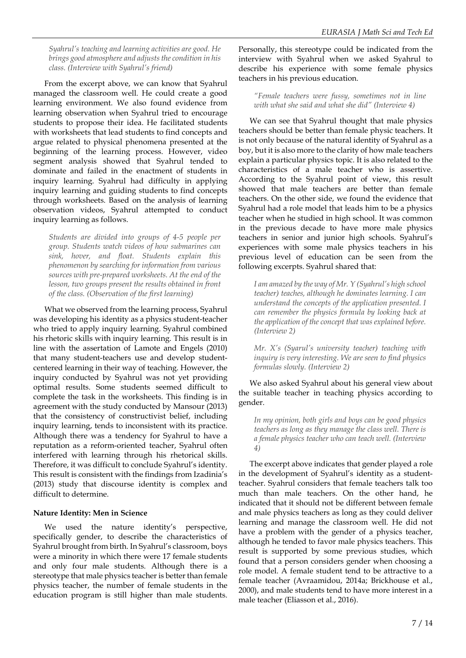*Syahrul's teaching and learning activities are good. He brings good atmosphere and adjuststhe condition in his class. (Interview with Syahrul's friend)*

From the excerpt above, we can know that Syahrul managed the classroom well. He could create a good learning environment. We also found evidence from learning observation when Syahrul tried to encourage students to propose their idea. He facilitated students with worksheets that lead students to find concepts and argue related to physical phenomena presented at the beginning of the learning process. However, video segment analysis showed that Syahrul tended to dominate and failed in the enactment of students in inquiry learning. Syahrul had difficulty in applying inquiry learning and guiding students to find concepts through worksheets. Based on the analysis of learning observation videos, Syahrul attempted to conduct inquiry learning as follows.

*Students are divided into groups of 4-5 people per group. Students watch videos of how submarines can sink, hover, and float. Students explain this phenomenon by searching for information from various sources with pre-prepared worksheets. At the end of the lesson, two groups present the results obtained in front of the class. (Observation of the first learning)*

What we observed from the learning process, Syahrul was developing his identity as a physics student-teacher who tried to apply inquiry learning. Syahrul combined his rhetoric skills with inquiry learning. This result is in line with the assertation of Lamote and Engels (2010) that many student-teachers use and develop studentcentered learning in their way of teaching. However, the inquiry conducted by Syahrul was not yet providing optimal results. Some students seemed difficult to complete the task in the worksheets. This finding is in agreement with the study conducted by Mansour (2013) that the consistency of constructivist belief, including inquiry learning, tends to inconsistent with its practice. Although there was a tendency for Syahrul to have a reputation as a reform-oriented teacher, Syahrul often interfered with learning through his rhetorical skills. Therefore, it was difficult to conclude Syahrul's identity. This result is consistent with the findings from Izadinia's (2013) study that discourse identity is complex and difficult to determine.

#### **Nature Identity: Men in Science**

We used the nature identity's perspective, specifically gender, to describe the characteristics of Syahrul brought from birth. In Syahrul's classroom, boys were a minority in which there were 17 female students and only four male students. Although there is a stereotype that male physics teacher is better than female physics teacher, the number of female students in the education program is still higher than male students.

Personally, this stereotype could be indicated from the interview with Syahrul when we asked Syahrul to describe his experience with some female physics teachers in his previous education.

#### *"Female teachers were fussy, sometimes not in line with what she said and what she did" (Interview 4)*

We can see that Syahrul thought that male physics teachers should be better than female physic teachers. It is not only because of the natural identity of Syahrul as a boy, but it is also more to the clarity of how male teachers explain a particular physics topic. It is also related to the characteristics of a male teacher who is assertive. According to the Syahrul point of view, this result showed that male teachers are better than female teachers. On the other side, we found the evidence that Syahrul had a role model that leads him to be a physics teacher when he studied in high school. It was common in the previous decade to have more male physics teachers in senior and junior high schools. Syahrul's experiences with some male physics teachers in his previous level of education can be seen from the following excerpts. Syahrul shared that:

*I am amazed by the way of Mr. Y (Syahrul's high school teacher) teaches, although he dominates learning. I can understand the concepts of the application presented. I can remember the physics formula by looking back at the application of the concept that was explained before. (Interview 2)*

*Mr. X's (Syarul's university teacher) teaching with inquiry is very interesting. We are seen to find physics formulas slowly. (Interview 2)*

We also asked Syahrul about his general view about the suitable teacher in teaching physics according to gender.

*In my opinion, both girls and boys can be good physics teachers as long as they manage the class well. There is a female physics teacher who can teach well. (Interview 4)*

The excerpt above indicates that gender played a role in the development of Syahrul's identity as a studentteacher. Syahrul considers that female teachers talk too much than male teachers. On the other hand, he indicated that it should not be different between female and male physics teachers as long as they could deliver learning and manage the classroom well. He did not have a problem with the gender of a physics teacher, although he tended to favor male physics teachers. This result is supported by some previous studies, which found that a person considers gender when choosing a role model. A female student tend to be attractive to a female teacher (Avraamidou, 2014a; Brickhouse et al., 2000), and male students tend to have more interest in a male teacher (Eliasson et al., 2016).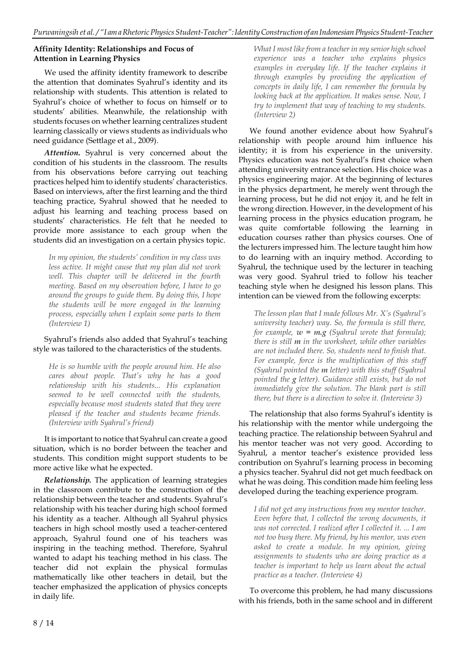### **Affinity Identity: Relationships and Focus of Attention in Learning Physics**

We used the affinity identity framework to describe the attention that dominates Syahrul's identity and its relationship with students. This attention is related to Syahrul's choice of whether to focus on himself or to students' abilities. Meanwhile, the relationship with students focuses on whether learning centralizes student learning classically or views students as individuals who need guidance (Settlage et al., 2009).

*Attention***.** Syahrul is very concerned about the condition of his students in the classroom. The results from his observations before carrying out teaching practices helped him to identify students' characteristics. Based on interviews, after the first learning and the third teaching practice, Syahrul showed that he needed to adjust his learning and teaching process based on students' characteristics. He felt that he needed to provide more assistance to each group when the students did an investigation on a certain physics topic.

*In my opinion, the students' condition in my class was less active. It might cause that my plan did not work well. This chapter will be delivered in the fourth meeting. Based on my observation before, I have to go around the groups to guide them. By doing this, I hope the students will be more engaged in the learning process, especially when I explain some parts to them (Interview 1)*

### Syahrul's friends also added that Syahrul's teaching style was tailored to the characteristics of the students.

*He is so humble with the people around him. He also cares about people. That's why he has a good relationship with his students... His explanation seemed to be well connected with the students, especially because most students stated that they were pleased if the teacher and students became friends. (Interview with Syahrul's friend)*

It is important to notice that Syahrul can create a good situation, which is no border between the teacher and students. This condition might support students to be more active like what he expected.

*Relationship.* The application of learning strategies in the classroom contribute to the construction of the relationship between the teacher and students. Syahrul's relationship with his teacher during high school formed his identity as a teacher. Although all Syahrul physics teachers in high school mostly used a teacher-centered approach, Syahrul found one of his teachers was inspiring in the teaching method. Therefore, Syahrul wanted to adapt his teaching method in his class. The teacher did not explain the physical formulas mathematically like other teachers in detail, but the teacher emphasized the application of physics concepts in daily life.

*What I most likefrom a teacher in my senior high school experience was a teacher who explains physics examples in everyday life. If the teacher explains it through examples by providing the application of concepts in daily life, I can remember the formula by looking back at the application. It makes sense. Now, I try to implement that way of teaching to my students. (Interview 2)*

We found another evidence about how Syahrul's relationship with people around him influence his identity; it is from his experience in the university. Physics education was not Syahrul's first choice when attending university entrance selection. His choice was a physics engineering major. At the beginning of lectures in the physics department, he merely went through the learning process, but he did not enjoy it, and he felt in the wrong direction. However, in the development of his learning process in the physics education program, he was quite comfortable following the learning in education courses rather than physics courses. One of the lecturers impressed him. The lecture taught him how to do learning with an inquiry method. According to Syahrul, the technique used by the lecturer in teaching was very good. Syahrul tried to follow his teacher teaching style when he designed his lesson plans. This intention can be viewed from the following excerpts:

*The lesson plan that I made follows Mr. X's (Syahrul's university teacher) way. So, the formula is still there, for example*,  $w = m.g$  *(Syahrul wrote that formula); there is still m in the worksheet, while other variables are not included there. So, students need to finish that. For example, force is the multiplication of this stuff (Syahrul pointed the m letter) with this stuff (Syahrul pointed the g letter). Guidance still exists, but do not immediately give the solution. The blank part is still there, but there is a direction to solve it. (Interview 3)*

The relationship that also forms Syahrul's identity is his relationship with the mentor while undergoing the teaching practice. The relationship between Syahrul and his mentor teacher was not very good. According to Syahrul, a mentor teacher's existence provided less contribution on Syahrul's learning process in becoming a physics teacher. Syahrul did not get much feedback on what he was doing. This condition made him feeling less developed during the teaching experience program.

*I did not get any instructions from my mentor teacher. Even before that, I collected the wrong documents, it was not corrected. I realized after I collected it. ... I am not too busy there. My friend, by his mentor, was even asked to create a module. In my opinion, giving assignments to students who are doing practice as a teacher is important to help us learn about the actual practice as a teacher. (Interview 4)*

To overcome this problem, he had many discussions with his friends, both in the same school and in different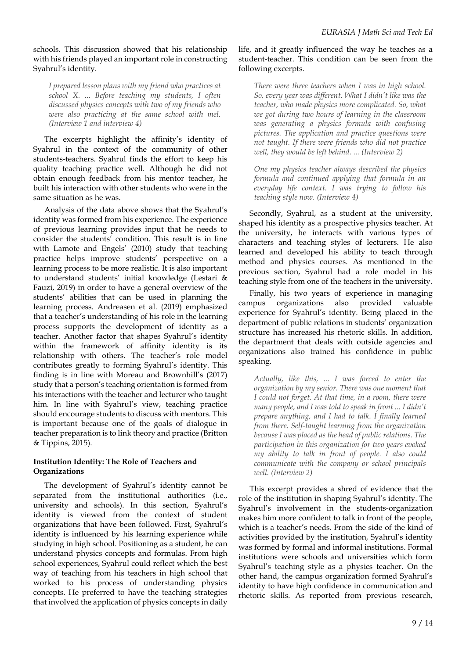schools. This discussion showed that his relationship with his friends played an important role in constructing Syahrul's identity.

*I prepared lesson plans with my friend who practices at school X. ... Before teaching my students, I often discussed physics concepts with two of my friends who were also practicing at the same school with mel. (Interview 1 and interview 4)*

The excerpts highlight the affinity's identity of Syahrul in the context of the community of other students-teachers. Syahrul finds the effort to keep his quality teaching practice well. Although he did not obtain enough feedback from his mentor teacher, he built his interaction with other students who were in the same situation as he was.

Analysis of the data above shows that the Syahrul's identity was formed from his experience. The experience of previous learning provides input that he needs to consider the students' condition. This result is in line with Lamote and Engels' (2010) study that teaching practice helps improve students' perspective on a learning process to be more realistic. It is also important to understand students' initial knowledge (Lestari & Fauzi, 2019) in order to have a general overview of the students' abilities that can be used in planning the learning process. Andreasen et al. (2019) emphasized that a teacher's understanding of his role in the learning process supports the development of identity as a teacher. Another factor that shapes Syahrul's identity within the framework of affinity identity is its relationship with others. The teacher's role model contributes greatly to forming Syahrul's identity. This finding is in line with Moreau and Brownhill's (2017) study that a person's teaching orientation is formed from his interactions with the teacher and lecturer who taught him. In line with Syahrul's view, teaching practice should encourage students to discuss with mentors. This is important because one of the goals of dialogue in teacher preparation is to link theory and practice (Britton & Tippins, 2015).

### **Institution Identity: The Role of Teachers and Organizations**

The development of Syahrul's identity cannot be separated from the institutional authorities (i.e., university and schools). In this section, Syahrul's identity is viewed from the context of student organizations that have been followed. First, Syahrul's identity is influenced by his learning experience while studying in high school. Positioning as a student, he can understand physics concepts and formulas. From high school experiences, Syahrul could reflect which the best way of teaching from his teachers in high school that worked to his process of understanding physics concepts. He preferred to have the teaching strategies that involved the application of physics concepts in daily

### life, and it greatly influenced the way he teaches as a student-teacher. This condition can be seen from the following excerpts.

*There were three teachers when I was in high school. So, every year was different. What I didn't like was the teacher, who made physics more complicated. So, what we got during two hours of learning in the classroom was generating a physics formula with confusing pictures. The application and practice questions were not taught. If there were friends who did not practice well, they would be left behind. ... (Interview 2)*

*One my physics teacher always described the physics formula and continued applying that formula in an everyday life context. I was trying to follow his teaching style now. (Interview 4)*

Secondly, Syahrul, as a student at the university, shaped his identity as a prospective physics teacher. At the university, he interacts with various types of characters and teaching styles of lecturers. He also learned and developed his ability to teach through method and physics courses. As mentioned in the previous section, Syahrul had a role model in his teaching style from one of the teachers in the university.

Finally, his two years of experience in managing campus organizations also provided valuable experience for Syahrul's identity. Being placed in the department of public relations in students' organization structure has increased his rhetoric skills. In addition, the department that deals with outside agencies and organizations also trained his confidence in public speaking.

*Actually, like this, ... I was forced to enter the organization by my senior. There was one moment that I could not forget. At that time, in a room, there were many people, and I was told to speak in front ... I didn't prepare anything, and I had to talk. I finally learned from there. Self-taught learning from the organization because I was placed as the head of public relations. The participation in this organization for two years evoked my ability to talk in front of people. I also could communicate with the company or school principals well. (Interview 2)*

This excerpt provides a shred of evidence that the role of the institution in shaping Syahrul's identity. The Syahrul's involvement in the students-organization makes him more confident to talk in front of the people, which is a teacher's needs. From the side of the kind of activities provided by the institution, Syahrul's identity was formed by formal and informal institutions. Formal institutions were schools and universities which form Syahrul's teaching style as a physics teacher. On the other hand, the campus organization formed Syahrul's identity to have high confidence in communication and rhetoric skills. As reported from previous research,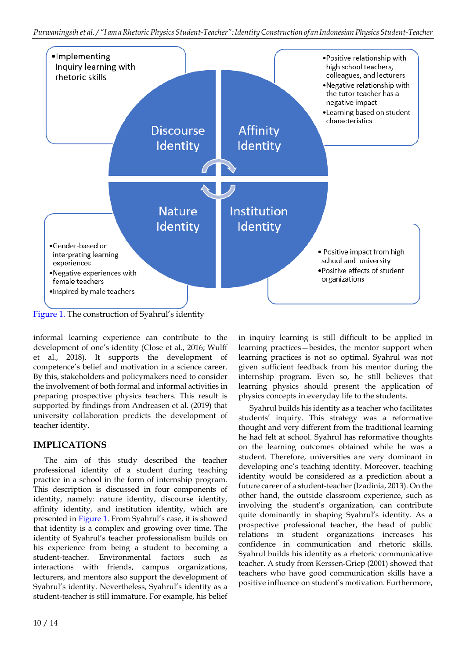

Figure 1. The construction of Syahrul's identity

informal learning experience can contribute to the development of one's identity (Close et al., 2016; Wulff et al., 2018). It supports the development of competence's belief and motivation in a science career. By this, stakeholders and policymakers need to consider the involvement of both formal and informal activities in preparing prospective physics teachers. This result is supported by findings from Andreasen et al. (2019) that university collaboration predicts the development of teacher identity.

# **IMPLICATIONS**

The aim of this study described the teacher professional identity of a student during teaching practice in a school in the form of internship program. This description is discussed in four components of identity, namely: nature identity, discourse identity, affinity identity, and institution identity, which are presented in Figure 1. From Syahrul's case, it is showed that identity is a complex and growing over time. The identity of Syahrul's teacher professionalism builds on his experience from being a student to becoming a student-teacher. Environmental factors such as interactions with friends, campus organizations, lecturers, and mentors also support the development of Syahrul's identity. Nevertheless, Syahrul's identity as a student-teacher is still immature. For example, his belief

in inquiry learning is still difficult to be applied in learning practices—besides, the mentor support when learning practices is not so optimal. Syahrul was not given sufficient feedback from his mentor during the internship program. Even so, he still believes that learning physics should present the application of physics concepts in everyday life to the students.

Syahrul builds his identity as a teacher who facilitates students' inquiry. This strategy was a reformative thought and very different from the traditional learning he had felt at school. Syahrul has reformative thoughts on the learning outcomes obtained while he was a student. Therefore, universities are very dominant in developing one's teaching identity. Moreover, teaching identity would be considered as a prediction about a future career of a student-teacher (Izadinia, 2013). On the other hand, the outside classroom experience, such as involving the student's organization, can contribute quite dominantly in shaping Syahrul's identity. As a prospective professional teacher, the head of public relations in student organizations increases his confidence in communication and rhetoric skills. Syahrul builds his identity as a rhetoric communicative teacher. A study from Kerssen‐Griep (2001) showed that teachers who have good communication skills have a positive influence on student's motivation. Furthermore,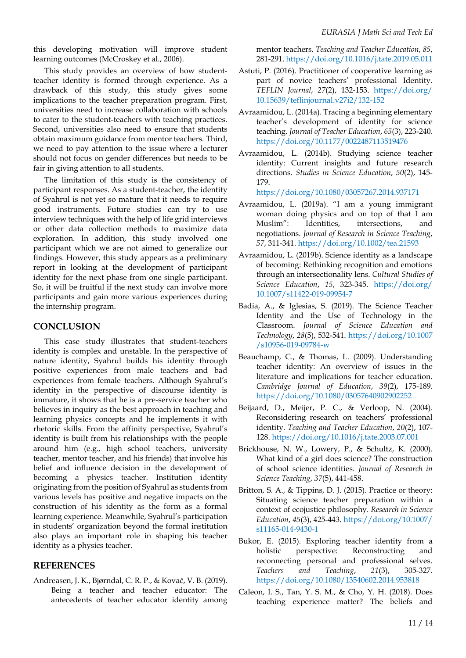this developing motivation will improve student learning outcomes (McCroskey et al., 2006).

This study provides an overview of how studentteacher identity is formed through experience. As a drawback of this study, this study gives some implications to the teacher preparation program. First, universities need to increase collaboration with schools to cater to the student-teachers with teaching practices. Second, universities also need to ensure that students obtain maximum guidance from mentor teachers. Third, we need to pay attention to the issue where a lecturer should not focus on gender differences but needs to be fair in giving attention to all students.

The limitation of this study is the consistency of participant responses. As a student-teacher, the identity of Syahrul is not yet so mature that it needs to require good instruments. Future studies can try to use interview techniques with the help of life grid interviews or other data collection methods to maximize data exploration. In addition, this study involved one participant which we are not aimed to generalize our findings. However, this study appears as a preliminary report in looking at the development of participant identity for the next phase from one single participant. So, it will be fruitful if the next study can involve more participants and gain more various experiences during the internship program.

### **CONCLUSION**

This case study illustrates that student-teachers identity is complex and unstable. In the perspective of nature identity, Syahrul builds his identity through positive experiences from male teachers and bad experiences from female teachers. Although Syahrul's identity in the perspective of discourse identity is immature, it shows that he is a pre-service teacher who believes in inquiry as the best approach in teaching and learning physics concepts and he implements it with rhetoric skills. From the affinity perspective, Syahrul's identity is built from his relationships with the people around him (e.g., high school teachers, university teacher, mentor teacher, and his friends) that involve his belief and influence decision in the development of becoming a physics teacher. Institution identity originating from the position of Syahrul as students from various levels has positive and negative impacts on the construction of his identity as the form as a formal learning experience. Meanwhile, Syahrul's participation in students' organization beyond the formal institution also plays an important role in shaping his teacher identity as a physics teacher.

### **REFERENCES**

Andreasen, J. K., Bjørndal, C. R. P., & Kovač, V. B. (2019). Being a teacher and teacher educator: The antecedents of teacher educator identity among mentor teachers. *Teaching and Teacher Education*, *85*, 281-291. <https://doi.org/10.1016/j.tate.2019.05.011>

- Astuti, P. (2016). Practitioner of cooperative learning as part of novice teachers' professional Identity. *TEFLIN Journal*, *27*(2), 132-153. [https://doi.org/](https://doi.org/10.15639/teflinjournal.v27i2/132-152) [10.15639/teflinjournal.v27i2/132-152](https://doi.org/10.15639/teflinjournal.v27i2/132-152)
- Avraamidou, L. (2014a). Tracing a beginning elementary teacher's development of identity for science teaching. *Journal of Teacher Education*, *65*(3), 223-240. <https://doi.org/10.1177/0022487113519476>
- Avraamidou, L. (2014b). Studying science teacher identity: Current insights and future research directions. *Studies in Science Education*, *50*(2), 145- 179.

<https://doi.org/10.1080/03057267.2014.937171>

- Avraamidou, L. (2019a). "I am a young immigrant woman doing physics and on top of that I am Muslim": Identities, intersections, and negotiations. *Journal of Research in Science Teaching*, *57*, 311-341. <https://doi.org/10.1002/tea.21593>
- Avraamidou, L. (2019b). Science identity as a landscape of becoming: Rethinking recognition and emotions through an intersectionality lens. *Cultural Studies of Science Education*, *15*, 323-345. [https://doi.org/](https://doi.org/10.1007/s11422-019-09954-7) [10.1007/s11422-019-09954-7](https://doi.org/10.1007/s11422-019-09954-7)
- Badia, A., & Iglesias, S. (2019). The Science Teacher Identity and the Use of Technology in the Classroom. *Journal of Science Education and Technology*, *28*(5), 532-541. [https://doi.org/10.1007](https://doi.org/10.1007/s10956-019-09784-w) [/s10956-019-09784-w](https://doi.org/10.1007/s10956-019-09784-w)
- Beauchamp, C., & Thomas, L. (2009). Understanding teacher identity: An overview of issues in the literature and implications for teacher education. *Cambridge Journal of Education*, *39*(2), 175-189. <https://doi.org/10.1080/03057640902902252>
- Beijaard, D., Meijer, P. C., & Verloop, N. (2004). Reconsidering research on teachers' professional identity. *Teaching and Teacher Education*, *20*(2), 107- 128. <https://doi.org/10.1016/j.tate.2003.07.001>
- Brickhouse, N. W., Lowery, P., & Schultz, K. (2000). What kind of a girl does science? The construction of school science identities. *Journal of Research in Science Teaching*, *37*(5), 441-458.
- Britton, S. A., & Tippins, D. J. (2015). Practice or theory: Situating science teacher preparation within a context of ecojustice philosophy. *Research in Science Education*, *45*(3), 425-443. [https://doi.org/10.1007/](https://doi.org/10.1007/s11165-014-9430-1) [s11165-014-9430-1](https://doi.org/10.1007/s11165-014-9430-1)
- Bukor, E. (2015). Exploring teacher identity from a holistic perspective: Reconstructing and reconnecting personal and professional selves. *Teachers and Teaching*, *21*(3), 305-327. <https://doi.org/10.1080/13540602.2014.953818>
- Caleon, I. S., Tan, Y. S. M., & Cho, Y. H. (2018). Does teaching experience matter? The beliefs and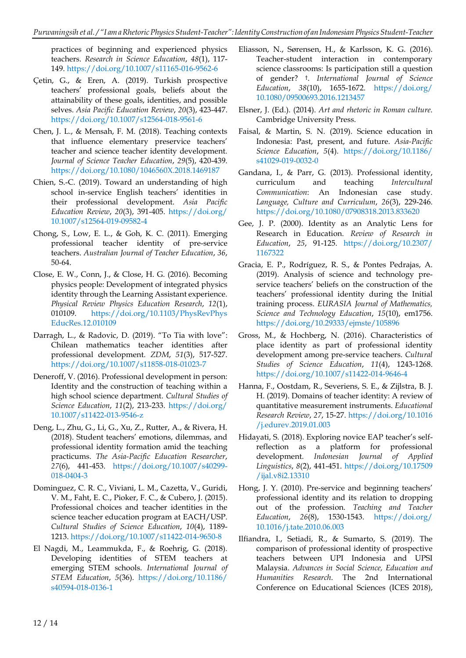practices of beginning and experienced physics teachers. *Research in Science Education*, *48*(1), 117- 149. <https://doi.org/10.1007/s11165-016-9562-6>

- Çetin, G., & Eren, A. (2019). Turkish prospective teachers' professional goals, beliefs about the attainability of these goals, identities, and possible selves. *Asia Pacific Education Review*, *20*(3), 423-447. <https://doi.org/10.1007/s12564-018-9561-6>
- Chen, J. L., & Mensah, F. M. (2018). Teaching contexts that influence elementary preservice teachers' teacher and science teacher identity development. *Journal of Science Teacher Education*, *29*(5), 420-439. <https://doi.org/10.1080/1046560X.2018.1469187>
- Chien, S.-C. (2019). Toward an understanding of high school in-service English teachers' identities in their professional development. *Asia Pacific Education Review*, *20*(3), 391-405. [https://doi.org/](https://doi.org/10.1007/s12564-019-09582-4) [10.1007/s12564-019-09582-4](https://doi.org/10.1007/s12564-019-09582-4)
- Chong, S., Low, E. L., & Goh, K. C. (2011). Emerging professional teacher identity of pre-service teachers. *Australian Journal of Teacher Education*, *36*, 50-64.
- Close, E. W., Conn, J., & Close, H. G. (2016). Becoming physics people: Development of integrated physics identity through the Learning Assistant experience. *Physical Review Physics Education Research*, *12*(1), 010109. [https://doi.org/10.1103/PhysRevPhys](https://doi.org/10.1103/PhysRevPhysEducRes.12.010109) [EducRes.12.010109](https://doi.org/10.1103/PhysRevPhysEducRes.12.010109)
- Darragh, L., & Radovic, D. (2019). "To Tia with love": Chilean mathematics teacher identities after professional development. *ZDM*, *51*(3), 517-527. <https://doi.org/10.1007/s11858-018-01023-7>
- Deneroff, V. (2016). Professional development in person: Identity and the construction of teaching within a high school science department. *Cultural Studies of Science Education*, *11*(2), 213-233. [https://doi.org/](https://doi.org/10.1007/s11422-013-9546-z) [10.1007/s11422-013-9546-z](https://doi.org/10.1007/s11422-013-9546-z)
- Deng, L., Zhu, G., Li, G., Xu, Z., Rutter, A., & Rivera, H. (2018). Student teachers' emotions, dilemmas, and professional identity formation amid the teaching practicums. *The Asia-Pacific Education Researcher*, *27*(6), 441-453. [https://doi.org/10.1007/s40299-](https://doi.org/10.1007/s40299-018-0404-3) [018-0404-3](https://doi.org/10.1007/s40299-018-0404-3)
- Dominguez, C. R. C., Viviani, L. M., Cazetta, V., Guridi, V. M., Faht, E. C., Pioker, F. C., & Cubero, J. (2015). Professional choices and teacher identities in the science teacher education program at EACH/USP. *Cultural Studies of Science Education*, *10*(4), 1189- 1213. <https://doi.org/10.1007/s11422-014-9650-8>
- El Nagdi, M., Leammukda, F., & Roehrig, G. (2018). Developing identities of STEM teachers at emerging STEM schools. *International Journal of STEM Education*, *5*(36). [https://doi.org/10.1186/](https://doi.org/10.1186/s40594-018-0136-1) [s40594-018-0136-1](https://doi.org/10.1186/s40594-018-0136-1)
- Eliasson, N., Sørensen, H., & Karlsson, K. G. (2016). Teacher-student interaction in contemporary science classrooms: Is participation still a question of gender? † . *International Journal of Science Education*, *38*(10), 1655-1672. [https://doi.org/](https://doi.org/10.1080/09500693.2016.1213457) [10.1080/09500693.2016.1213457](https://doi.org/10.1080/09500693.2016.1213457)
- Elsner, J. (Ed.). (2014). *Art and rhetoric in Roman culture*. Cambridge University Press.
- Faisal, & Martin, S. N. (2019). Science education in Indonesia: Past, present, and future. *Asia-Pacific Science Education*, *5*(4). [https://doi.org/10.1186/](https://doi.org/10.1186/s41029-019-0032-0) [s41029-019-0032-0](https://doi.org/10.1186/s41029-019-0032-0)
- Gandana, I., & Parr, G. (2013). Professional identity, curriculum and teaching *Intercultural Communication*: An Indonesian case study. *Language, Culture and Curriculum*, *26*(3), 229-246. <https://doi.org/10.1080/07908318.2013.833620>
- Gee, J. P. (2000). Identity as an Analytic Lens for Research in Education. *Review of Research in Education*, *25*, 91-125. [https://doi.org/10.2307/](https://doi.org/10.2307/1167322) [1167322](https://doi.org/10.2307/1167322)
- Gracia, E. P., Rodríguez, R. S., & Pontes Pedrajas, A. (2019). Analysis of science and technology preservice teachers' beliefs on the construction of the teachers' professional identity during the Initial training process. *EURASIA Journal of Mathematics, Science and Technology Education*, *15*(10), em1756. <https://doi.org/10.29333/ejmste/105896>
- Gross, M., & Hochberg, N. (2016). Characteristics of place identity as part of professional identity development among pre-service teachers. *Cultural Studies of Science Education*, *11*(4), 1243-1268. <https://doi.org/10.1007/s11422-014-9646-4>
- Hanna, F., Oostdam, R., Severiens, S. E., & Zijlstra, B. J. H. (2019). Domains of teacher identity: A review of quantitative measurement instruments. *Educational Research Review*, *27*, 15-27. [https://doi.org/10.1016](https://doi.org/10.1016/j.edurev.2019.01.003) [/j.edurev.2019.01.003](https://doi.org/10.1016/j.edurev.2019.01.003)
- Hidayati, S. (2018). Exploring novice EAP teacher's selfreflection as a platform for professional development. Indonesian Journal of Applied development. *Indonesian Journal Linguistics*, *8*(2), 441-451. [https://doi.org/10.17509](https://doi.org/10.17509/ijal.v8i2.13310) [/ijal.v8i2.13310](https://doi.org/10.17509/ijal.v8i2.13310)
- Hong, J. Y. (2010). Pre-service and beginning teachers' professional identity and its relation to dropping out of the profession. *Teaching and Teacher Education*, *26*(8), 1530-1543. [https://doi.org/](https://doi.org/10.1016/j.tate.2010.06.003) [10.1016/j.tate.2010.06.003](https://doi.org/10.1016/j.tate.2010.06.003)
- Ilfiandra, I., Setiadi, R., & Sumarto, S. (2019). The comparison of professional identity of prospective teachers between UPI Indonesia and UPSI Malaysia. *Advances in Social Science, Education and Humanities Research*. The 2nd International Conference on Educational Sciences (ICES 2018),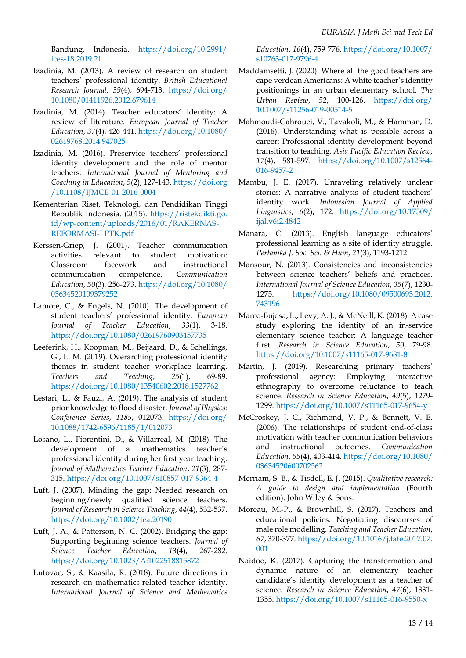Bandung, Indonesia. [https://doi.org/10.2991/](https://doi.org/10.2991/ices-18.2019.21) [ices-18.2019.21](https://doi.org/10.2991/ices-18.2019.21)

- Izadinia, M. (2013). A review of research on student teachers' professional identity. *British Educational Research Journal*, *39*(4), 694-713. [https://doi.org/](https://doi.org/10.1080/01411926.2012.679614) [10.1080/01411926.2012.679614](https://doi.org/10.1080/01411926.2012.679614)
- Izadinia, M. (2014). Teacher educators' identity: A review of literature. *European Journal of Teacher Education*, *37*(4), 426-441. [https://doi.org/10.1080/](https://doi.org/10.1080/02619768.2014.947025) [02619768.2014.947025](https://doi.org/10.1080/02619768.2014.947025)
- Izadinia, M. (2016). Preservice teachers' professional identity development and the role of mentor teachers. *International Journal of Mentoring and Coaching in Education*, *5*(2), 127-143. [https://doi.org](https://doi.org/10.1108/IJMCE-01-2016-0004) [/10.1108/IJMCE-01-2016-0004](https://doi.org/10.1108/IJMCE-01-2016-0004)
- Kementerian Riset, Teknologi, dan Pendidikan Tinggi Republik Indonesia. (2015). [https://ristekdikti.go.](https://ristekdikti.go.id/wp-content/uploads/2016/01/RAKERNAS-REFORMASI-LPTK.pdf) [id/wp-content/uploads/2016/01/RAKERNAS-](https://ristekdikti.go.id/wp-content/uploads/2016/01/RAKERNAS-REFORMASI-LPTK.pdf)[REFORMASI-LPTK.pdf](https://ristekdikti.go.id/wp-content/uploads/2016/01/RAKERNAS-REFORMASI-LPTK.pdf)
- Kerssen‐Griep, J. (2001). Teacher communication activities relevant to student motivation: Classroom facework and instructional communication competence. *Communication Education*, *50*(3), 256-273. [https://doi.org/10.1080/](https://doi.org/10.1080/03634520109379252) [03634520109379252](https://doi.org/10.1080/03634520109379252)
- Lamote, C., & Engels, N. (2010). The development of student teachers' professional identity. *European Journal of Teacher Education*, *33*(1), 3-18. <https://doi.org/10.1080/02619760903457735>
- Leeferink, H., Koopman, M., Beijaard, D., & Schellings, G., L. M. (2019). Overarching professional identity themes in student teacher workplace learning. *Teachers and Teaching*, *25*(1), 69-89. <https://doi.org/10.1080/13540602.2018.1527762>
- Lestari, L., & Fauzi, A. (2019). The analysis of student prior knowledge to flood disaster. *Journal of Physics: Conference Series*, *1185*, 012073. [https://doi.org/](https://doi.org/10.1088/1742-6596/1185/1/012073) [10.1088/1742-6596/1185/1/012073](https://doi.org/10.1088/1742-6596/1185/1/012073)
- Losano, L., Fiorentini, D., & Villarreal, M. (2018). The development of a mathematics teacher's professional identity during her first year teaching. *Journal of Mathematics Teacher Education*, *21*(3), 287- 315. <https://doi.org/10.1007/s10857-017-9364-4>
- Luft, J. (2007). Minding the gap: Needed research on beginning/newly qualified science teachers. *Journal of Research in Science Teaching*, *44*(4), 532-537. <https://doi.org/10.1002/tea.20190>
- Luft, J. A., & Patterson, N. C. (2002). Bridging the gap: Supporting beginning science teachers. *Journal of Science Teacher Education*, *13*(4), 267-282. <https://doi.org/10.1023/A:1022518815872>
- Lutovac, S., & Kaasila, R. (2018). Future directions in research on mathematics-related teacher identity. *International Journal of Science and Mathematics*

*Education*, *16*(4), 759-776. [https://doi.org/10.1007/](https://doi.org/10.1007/s10763-017-9796-4) [s10763-017-9796-4](https://doi.org/10.1007/s10763-017-9796-4)

- Maddamsetti, J. (2020). Where all the good teachers are cape verdean Americans: A white teacher's identity positionings in an urban elementary school. *The Urban Review*, *52*, 100-126. [https://doi.org/](https://doi.org/10.1007/s11256-019-00514-5) [10.1007/s11256-019-00514-5](https://doi.org/10.1007/s11256-019-00514-5)
- Mahmoudi-Gahrouei, V., Tavakoli, M., & Hamman, D. (2016). Understanding what is possible across a career: Professional identity development beyond transition to teaching. *Asia Pacific Education Review*, *17*(4), 581-597. [https://doi.org/10.1007/s12564-](https://doi.org/10.1007/s12564-016-9457-2) [016-9457-2](https://doi.org/10.1007/s12564-016-9457-2)
- Mambu, J. E. (2017). Unraveling relatively unclear stories: A narrative analysis of student-teachers' identity work. *Indonesian Journal of Applied Linguistics*, *6*(2), 172. [https://doi.org/10.17509/](https://doi.org/10.17509/ijal.v6i2.4842) [ijal.v6i2.4842](https://doi.org/10.17509/ijal.v6i2.4842)
- Manara, C. (2013). English language educators' professional learning as a site of identity struggle. *Pertanika J. Soc. Sci. & Hum*, *21*(3), 1193-1212.
- Mansour, N. (2013). Consistencies and inconsistencies between science teachers' beliefs and practices. *International Journal of Science Education*, *35*(7), 1230- 1275. [https://doi.org/10.1080/09500693.2012.](https://doi.org/10.1080/09500693.2012.743196) [743196](https://doi.org/10.1080/09500693.2012.743196)
- Marco-Bujosa, L., Levy, A. J., & McNeill, K. (2018). A case study exploring the identity of an in-service elementary science teacher: A language teacher first. *Research in Science Education*, *50*, 79-98. <https://doi.org/10.1007/s11165-017-9681-8>
- Martin, J. (2019). Researching primary teachers' professional agency: Employing interactive ethnography to overcome reluctance to teach science. *Research in Science Education*, *49*(5), 1279- 1299. <https://doi.org/10.1007/s11165-017-9654-y>
- McCroskey, J. C., Richmond, V. P., & Bennett, V. E. (2006). The relationships of student end-of-class motivation with teacher communication behaviors and instructional outcomes. *Communication Education*, *55*(4), 403-414. [https://doi.org/10.1080/](https://doi.org/10.1080/03634520600702562) [03634520600702562](https://doi.org/10.1080/03634520600702562)
- Merriam, S. B., & Tisdell, E. J. (2015). *Qualitative research: A guide to design and implementation* (Fourth edition). John Wiley & Sons.
- Moreau, M.-P., & Brownhill, S. (2017). Teachers and educational policies: Negotiating discourses of male role modelling. *Teaching and Teacher Education*, *67*, 370-377. [https://doi.org/10.1016/j.tate.2017.07.](https://doi.org/10.1016/j.tate.2017.07.001) [001](https://doi.org/10.1016/j.tate.2017.07.001)
- Naidoo, K. (2017). Capturing the transformation and dynamic nature of an elementary teacher candidate's identity development as a teacher of science. *Research in Science Education*, *47*(6), 1331- 1355. <https://doi.org/10.1007/s11165-016-9550-x>